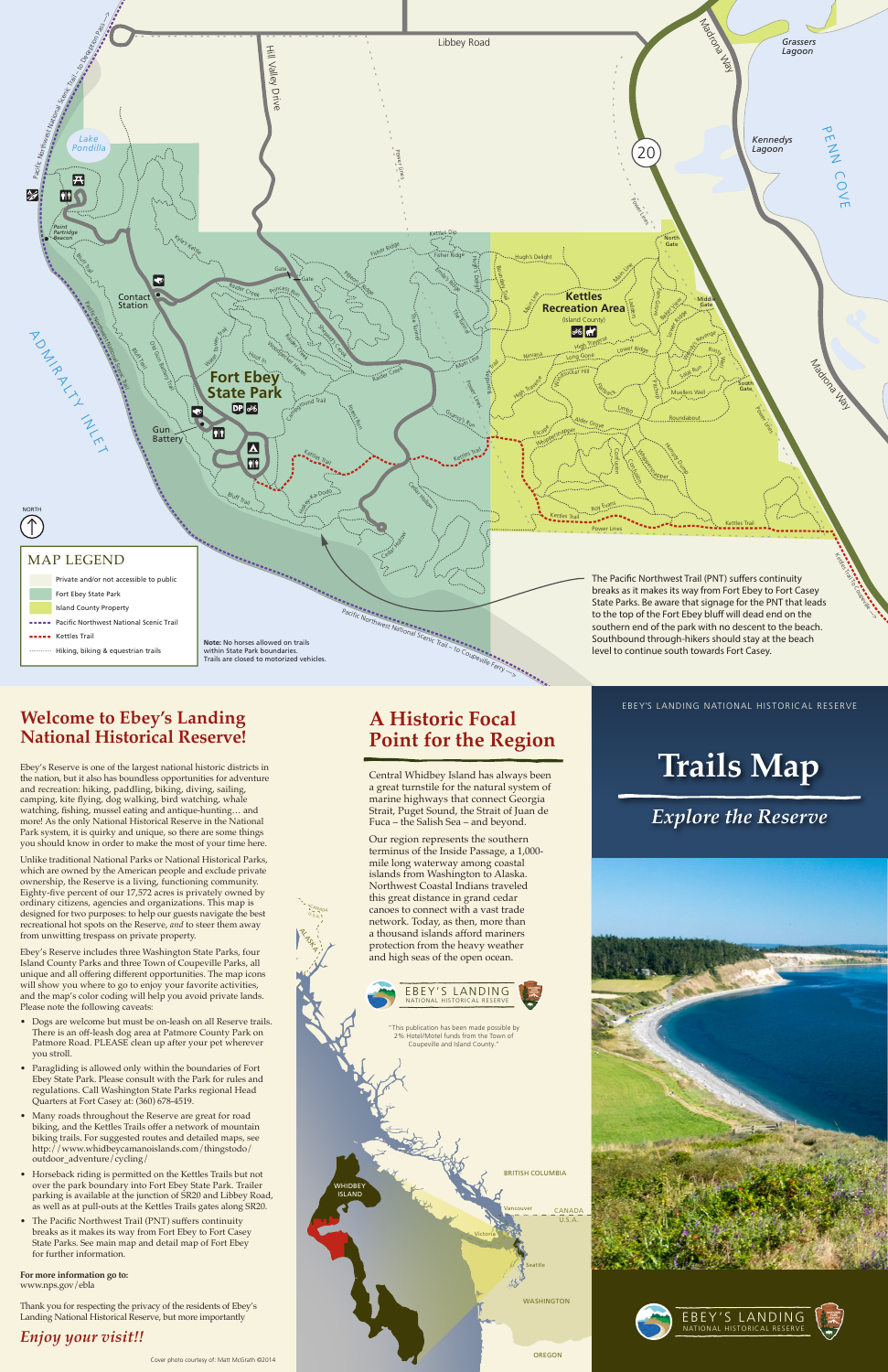

Ebey's Reserve includes three Washington State Parks, four Island County Parks and three Town of Coupeville Parks, all unique and all offering different opportunities. The map icons will show you where to go to enjoy your favorite activities, and the map's color coding will help you avoid private lands. Please note the following caveats:



### EBEY'S LANDING NATIONAL HISTORICAL RESERVE

## **A Historic Focal Point for the Region**

Central Whidbey Island has always been a great turnstile for the natural system of marine highways that connect Georgia Strait, Puget Sound, the Strait of Juan de Fuca – the Salish Sea – and beyond.

Our region represents the southern terminus of the Inside Passage, a 1,000 mile long waterway among coastal islands from Washington to Alaska. Northwest Coastal Indians traveled this great distance in grand cedar canoes to connect with a vast trade network. Today, as then, more than a thousand islands afford mariners protection from the heavy weather and high seas of the open ocean.

CANAD<sub>A</sub>  $U_{.5,A}$ 

**ALASKA** 

### **Welcome to Ebey's Landing National Historical Reserve!**

Ebey's Reserve is one of the largest national historic districts in the nation, but it also has boundless opportunities for adventure and recreation: hiking, paddling, biking, diving, sailing, camping, kite flying, dog walking, bird watching, whale watching, fishing, mussel eating and antique-hunting… and more! As the only National Historical Reserve in the National Park system, it is quirky and unique, so there are some things you should know in order to make the most of your time here.

Unlike traditional National Parks or National Historical Parks, which are owned by the American people and exclude private ownership, the Reserve is a living, functioning community. Eighty-five percent of our 17,572 acres is privately owned by ordinary citizens, agencies and organizations. This map is designed for two purposes: to help our guests navigate the best recreational hot spots on the Reserve, *and* to steer them away from unwitting trespass on private property.

- Dogs are welcome but must be on-leash on all Reserve trails. There is an off-leash dog area at Patmore County Park on Patmore Road. PLEASE clean up after your pet wherever you stroll.
- Paragliding is allowed only within the boundaries of Fort Ebey State Park. Please consult with the Park for rules and regulations. Call Washington State Parks regional Head Quarters at Fort Casey at: (360) 678-4519.
- Many roads throughout the Reserve are great for road biking, and the Kettles Trails offer a network of mountain biking trails. For suggested routes and detailed maps, see http://www.whidbeycamanoislands.com/thingstodo/ outdoor\_adventure/cycling/
- Horseback riding is permitted on the Kettles Trails but not over the park boundary into Fort Ebey State Park. Trailer parking is available at the junction of SR20 and Libbey Road, as well as at pull-outs at the Kettles Trails gates along SR20.
- The Pacific Northwest Trail (PNT) suffers continuity breaks as it makes its way from Fort Ebey to Fort Casey State Parks. See main map and detail map of Fort Ebey for further information.

**For more information go to:** www.nps.gov/ebla

Thank you for respecting the privacy of the residents of Ebey's Landing National Historical Reserve, but more importantly

*Enjoy your visit!!*



# **Trails Map**

# *Explore the Reserve*



### EBEY'S LANDING NATIONAL HISTORICAL RESERVE